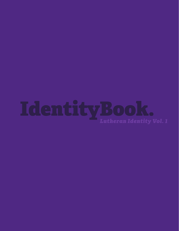# Identity Book.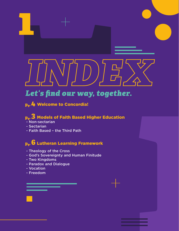# Let's find our way, together.

**pg.4** Welcome to Concordia!

# **pg.3** Models of Faith Based Higher Education

- Non-sectarian
- Sectarian
- Faith Based the Third Path

# **pg.6** Lutheran Learning Framework

- Theology of the Cross
- God's Sovereignty and Human Finitude
- Two Kingdoms
- Paradox and Dialogue
- Vocation
- Freedom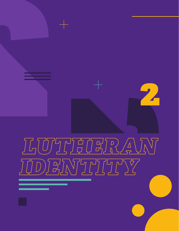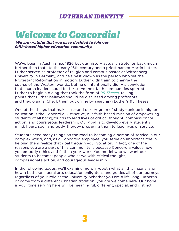# *Welcome to Concordia!*

*We are grateful that you have decided to join our faith-based higher education community.*

We've been in Austin since 1926 but our history actually stretches back much further than that—to the early 16th century and a priest named Martin Luther. Luther served as professor of religion and campus pastor at Wittenberg University in Germany, and he's best known as the person who set the Protestant Reformation in motion. Luther didn't aim to change the course of the Western world... but he unintentionally did. His conviction that church leaders could better serve their faith communities spurred Luther to begin a dialog that took the form of *95 Theses*, talking points that Luther believed should be discussed among professors and theologians. Check them out online by searching Luther's 95 Theses.

One of the things that makes us—and our program of study—unique in higher education is the Concordia Distinctive, our faith-based mission of empowering students of all backgrounds to lead lives of critical thought, compassionate action, and courageous leadership. Our goal is to develop every student's mind, heart, soul, and body, thereby preparing them to lead lives of service.

Students need many things on the road to becoming a person of service in our complex world, and, as a Concordia employee, you serve an important role in helping them realize that goal through your vocation. In fact, one of the reasons you are a part of this community is because Concordia values how you embody ethics and faith in your work. You model who we want our students to become: people who serve with critical thought, compassionate action, and courageous leadership.

In the following pages, we'll examine more in-depth what all this means, and how a Lutheran liberal arts education enlightens and guides all of our journeys regardless of your role at the university. Whether you are a life-long Lutheran or come from a different Christian tradition, you are welcome here. Our hope is your time serving here will be meaningful, different, special, and distinct.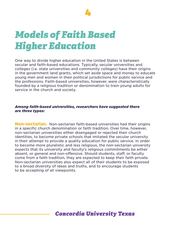

# *Models of Faith Based Higher Education*

One way to divide higher education in the United States is between secular and faith-based educations. Typically, secular universities and colleges (i.e. state universities and community colleges) have their origins in the government land grants, which set aside space and money to educate young men and women in their political jurisdictions for public service and the professions. Faith-based universities, however, were characteristically founded by a religious tradition or denomination to train young adults for service in the church and society.

#### *Among faith-based universities, researchers have suggested there are three types:*

**Non-sectarian.** Non-sectarian faith-based universities had their origins in a specific church denomination or faith tradition. Over time, however, non-sectarian universities either disengaged or rejected their church identities, to become private schools that imitated the secular university in their attempt to provide a quality education for public service. In order to become more pluralistic and less religious, the non-sectarian university expects that its university and faculty's religious commitments be either absent, or general and non-offensive. Should students, staff, or faculty come from a faith tradition, they are expected to keep their faith private. Non-sectarian universities also expect all of their students to be exposed to a broad diversity of ideas and truths, and to encourage students to be accepting of all viewpoints.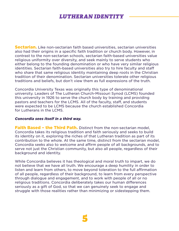**Sectarian.** Like non-sectarian faith based universities, sectarian universities also had their origins in a specific faith tradition or church body. However, in contrast to the non-sectarian schools, sectarian faith-based universities value religious uniformity over diversity, and seek mainly to serve students who either belong to the founding denomination or who have very similar religious identities. Sectarian faith-based universities also try to hire faculty and staff who share that same religious identity maintaining deep roots in the Christian tradition of their denomination. Sectarian universities tolerate other religious traditions and beliefs, but don't view them as full expressions of the truth.

Concordia University Texas was originally this type of denominational university. Leaders of The Lutheran Church-Missouri Synod (LCMS) founded this university in 1926 to serve the church body by training and providing pastors and teachers for the LCMS. All of the faculty, staff, and students were expected to be LCMS because the church established Concordia for Lutherans in the LCMS.

#### *Concordia sees itself in a third way.*

**Faith Based - the Third Path.** Distinct from the non-sectarian model. Concordia takes its religious tradition and faith seriously and seeks to build its identity on it, exploring the riches of that Lutheran tradition as part of its contribution to the whole. At the same time, distinct from the sectarian model, Concordia seeks also to welcome and affirm people of all backgrounds, and to serve not just the Christian community, but also all people, regardless of their background and identity.

While Concordia believes it has theological and moral truth to impart, we do not believe that we have all truth. We encourage a deep humility in order to listen and learn from others, to move beyond toleration to the full affirmation of all people, regardless of their background, to learn from every perspective through dialogue and engagement, and to work with people of all or no religious traditions. Concordia deliberately takes our human differences seriously as a gift of God, so that we can genuinely seek to engage and struggle with those realities rather than minimizing or sidestepping them.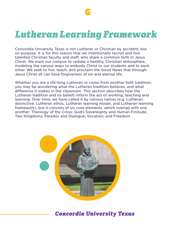# *Lutheran Learning Framework*

Concordia University Texas is not Lutheran or Christian by accident, but on purpose. It is for this reason that we intentionally recruit and hire talented Christian faculty and staff, who share a common faith in Jesus Christ. We want our campus to radiate a healthy, Christian atmosphere, modeling the various ways to embody Christ to our students and to each other. We seek to live, teach, and proclaim the Good News that through Jesus Christ all can have forgiveness of sin and eternal life.

Whether you are a life-long Lutheran or come from another faith tradition, you may be wondering what the Lutheran tradition believes, and what difference it makes in the classroom. This section describes how the Lutheran tradition and its beliefs inform the act of working, teaching and learning. Over time, we have called it by various names (e.g. Lutheran distinctive, Lutheran ethos, Lutheran learning model, and Lutheran learning framework), but it consists of six core elements, which overlap with one another: Theology of the Cross; God's Sovereignty and Human Finitude; Two Kingdoms; Paradox and Dialogue; Vocation; and Freedom.

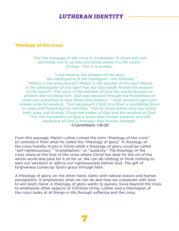#### Theology of the Cross

#### <sup>18</sup>For the message of the cross is foolishness to those who are *perishing, but to us who are being saved it is the power*  of God. <sup>19</sup>For it is written:

*"I will destroy the wisdom of the wise; the intelligence of the intelligent I will frustrate." ²⁰Where is the wise person? Where is the teacher of the law? Where is the philosopher of this age? Has not God made foolish the wisdom*  of the world? <sup>21</sup> For since in the wisdom of God the world through its *wisdom did not know him, God was pleased through the foolishness of what was preached to save those who believe. ²²Jews demand signs and Greeks look for wisdom, ²³but we preach Christ crucified: a stumbling block*  to Jews and foolishness to Gentiles, <sup>24</sup>but to those whom God has called, *both Jews and Greeks, Christ the power of God and the wisdom of God. ²⁵For the foolishness of God is wiser than human wisdom, and the weakness of God is stronger than human strength.*  -1 Corinthians 1.18-25

From this passage, Martin Luther coined the term "theology of the cross" to contrast it from what he called the "theology of glory." A theology of the cross humbly trusts in Christ while a theology of glory could be called "self-righteousness," "triumphalism," or "audacity." The theology of the cross starts at the foot of the cross where Christ has died for the sin of the whole world and paid for it all for us. We can do nothing or think nothing to earn our salvation or add to our righteousness before God. The gift of forgiveness comes by God's grace through faith.

A theology of glory, on the other hand, starts with natural reason and human perceptions. It emphasizes what we can do and how we cooperate with God to win God's favor. A theology of glory wants to quickly move beyond the cross to emphasize other aspects of Christian living. Luther said a theologian of the cross looks at all things in life through suffering and the cross.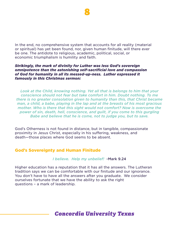

In the end, no comprehensive system that accounts for all reality (material or spiritual) has yet been found, nor, given human finitude, will there ever be one. The antidote to religious, academic, political, social, or economic triumphalism is humility and faith.

#### *Strikingly, the mark of divinity for Luther was less God's sovereign omnipotence than the astonishing self-sacrificial love and compassion of God for humanity in all its messed-up-ness. Luther expressed it famously in this Christmas sermon:*

*Look at the Child, knowing nothing. Yet all that is belongs to him that your conscience should not fear but take comfort in him. Doubt nothing. To me there is no greater consolation given to humanity than this, that Christ became man, a child, a babe, playing in the lap and at the breasts of his most gracious mother. Who is there that this sight would not comfort? Now is overcome the power of sin, death, hell, conscience, and guilt, if you come to this gurgling Babe and believe that he is come, not to judge you, but to save.*

God's Otherness is not found in distance, but in tangible, compassionate proximity in Jesus Christ, especially in his suffering, weakness, and death—those places where God seems to be absent.

#### God's Sovereignty and Human Finitude

*I believe. Help my unbelief!* -Mark 9.24

Higher education has a reputation that it has all the answers. The Lutheran tradition says we can be comfortable with our finitude and our ignorance. You don't have to have all the answers after you graduate. We consider ourselves fortunate that we have the ability to ask the right questions – a mark of leadership.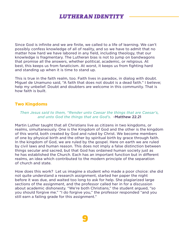Since God is infinite and we are finite, we called to a life of learning. We can't possibly confess knowledge of all of reality, and so we have to admit that no matter how hard we have labored in any field, including theology, that our knowledge is fragmentary. The Lutheran bias is not to jump on bandwagons that promise all the answers, whether political, academic, or religious. At best, this keeps us from fanaticism. At worst, it keeps us from fighting hard and standing up when it is time to stand up.

This is true in the faith realm, too. Faith lives in paradox, in dialog with doubt. Miguel de Unamuno said, "A faith that does not doubt is a dead faith." I believe; help my unbelief. Doubt and doubters are welcome in this community. That is how faith is built.

#### Two Kingdoms

#### *Then Jesus said to them, "Render unto Caesar the things that are Caesar's, and unto God the things that are God's.* -Matthew 22.21

Martin Luther taught that all Christians live as citizens in two kingdoms, or realms, simultaneously. One is the Kingdom of God and the other is the kingdom of this world, both created by God and ruled by Christ. We become members of one by physical birth and the other by spiritual birth by grace through faith. In the kingdom of God, we are ruled by the gospel. Here on earth we are ruled by civil laws and human reason. This does not imply a false distinction between things secular and sacred, but that God has ordained human society just as he has established the Church. Each has an important function but in different realms, an idea which contributed to the modern principle of the separation of church and state.

How does this work? Let us imagine a student who made a poor choice: she did not quite understand a research assignment, started her paper the night before it was due, and waited too long to ask for help. She plagiarized large sections of the assignment, and the professor called her in for a discussion about academic dishonesty. "We're both Christians," the student argued, "so you should forgive me." "I do forgive you," the professor responded "and you still earn a failing grade for this assignment."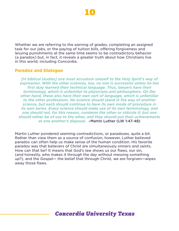

Whether we are referring to the earning of grades, completing an assigned task for our jobs, or the paying of tuition bills, offering forgiveness and levying punishments at the same time seems to be contradictory behavior (a paradox) but, in fact, it reveals a greater truth about how Christians live in this world, including Concordia.

#### Paradox and Dialogue

*[In biblical studies] one must accustom oneself to the Holy Spirit's way of expression. With the other sciences, too, no one is successful unless he has first duly learned their technical language. Thus, lawyers have their terminology, which is unfamiliar to physicians and philosophers. On the other hand, these also have their own sort of language, which is unfamiliar to the other professions. No science should stand in the way of another science, but each should continue to have its own mode of procedure in its own terms. Every science should make use of its own terminology, and one should not, for this reason, condemn the other or ridicule it; but one should rather be of use to the other, and they should put their achievements at one another's disposal.* –Martin Luther (LW 1:47-48)

Martin Luther pondered seeming contradictions, or paradoxes, quite a bit. Rather than view them as a source of confusion, however, Luther believed paradox can often help us make sense of the human condition. His favorite paradox was that believers of Christ are simultaneously sinners and saints. How can that be? It means that God's law shows us our flaws, our sin, (and honestly, who makes it through the day without messing something up?), and the Gospel— the belief that through Christ, we are forgiven—wipes away those flaws.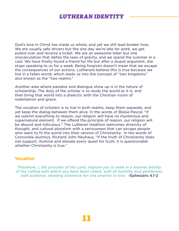God's love in Christ has made us whole, and yet we still lead broken lives. We are usually safe drivers but the one day we're late for work, we get pulled over and receive a ticket. We are an awesome biker but one miscalculation that defies the laws of gravity, and we spend the summer in a cast. We have finally found a friend for life but after a stupid argument, she stops speaking to us for a week. Being forgiven doesn't mean that we escape the consequences of our actions. Lutherans believe this is true because we live in a fallen world, which leads us into the concept of "two kingdoms" also known as the "two realms."

Another area where paradox and dialogue show up is in the nature of scholarship. The duty of the scholar is to study the world as it is, and then bring that world into a dialectic with the Christian vision of redemption and grace.

The vocation of scholars is to live in both realms, keep them separate, and yet keep the dialog between them alive. In the words of Blaise Pascal, "If we submit everything to reason, our religion will have no mysterious and supernatural element. If we offend the principle of reason, our religion will be absurd and ridiculous." The Lutheran tradition welcomes diversity of thought, and cultural pluralism with a seriousness that can escape people who want to fit the world into their version of Christianity. In the words of Concordia alumnus, Richard John Neuhaus, "If the truth of Christianity does not support, illumine and elevate every quest for truth, it is questionable whether Christianity is true."

#### Vocation

*Therefore, I, the prisoner of the Lord, implore you to walk in a manner worthy of the calling with which you have been called, with all humility and gentleness, with patience, showing tolerance for one another in love.* -Ephesians 4.1-2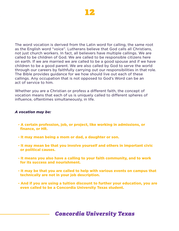

The word vocation is derived from the Latin word for calling, the same root as the English word "voice". Lutherans believe that God calls all Christians, not just church workers. In fact, all believers have multiple callings. We are called to be children of God. We are called to be responsible citizens here on earth. If we are married we are called to be a good spouse and if we have children to be a good parent. We are also called by God to serve the world through our careers by faithfully carrying out our responsibilities in that role. The Bible provides guidance for we how should live out each of these callings. Any occupation that is not opposed to God's Word can be an act of service to him.

Whether you are a Christian or profess a different faith, the concept of vocation means that each of us is uniquely called to different spheres of influence, oftentimes simultaneously, in life.

#### *A vocation may be:*

- A certain profession, job, or project, like working in admissions, or finance, or HR.
- It may mean being a mom or dad, a daughter or son.
- It may mean be that you involve yourself and others in important civic or political causes.
- It means you also have a calling to your faith community, and to work for its success and nourishment.
- It may be that you are called to help with various events on campus that technically are not in your job description.
- And if you are using a tuition discount to further your education, you are even called to be a Concordia University Texas student.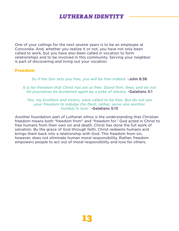One of your callings for the next several years is to be an employee at Concordia. And, whether you realize it or not, you have not only been called to work, but you have also been called in vocation to form relationships and to be involved in this community. Serving your neighbor is part of discovering and living out your vocation.

#### Freedom

*So if the Son sets you free, you will be free indeed.* -John 8:36

*It is for freedom that Christ has set us free. Stand firm, then, and do not let yourselves be burdened again by a yoke of slavery.* -Galatians 5:1

*You, my brothers and sisters, were called to be free. But do not use your freedom to indulge the flesh; rather, serve one another humbly in love.* -Galatians 5:13

Another foundation part of Lutheran ethos is the understanding that Christian freedom means both "freedom from" and "freedom for." God acted in Christ to free humans from their own sin and death. Christ has done the full work of salvation. By the grace of God through faith, Christ redeems humans and brings them back into a relationship with God. This freedom from sin, however, does not eliminate human moral responsibility. Rather, freedom empowers people to act out of moral responsibility and love for others.

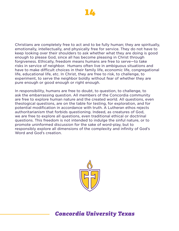

Christians are completely free to act and to be fully human; they are spiritually, emotionally, intellectually, and physically free for service. They do not have to keep looking over their shoulders to ask whether what they are doing is good enough to please God, since all has become pleasing in Christ through forgiveness. Ethically, freedom means humans are free to serve—to take risks in service of neighbor. Humans often live in ambiguous situations and have to make difficult choices in their family life, economic life, congregational life, educational life, etc. In Christ, they are free to risk, to challenge, to experiment, to serve the neighbor boldly without fear of whether they are pure enough or good enough or right enough.

In responsibility, humans are free to doubt, to question, to challenge, to ask the embarrassing question. All members of the Concordia community are free to explore human nature and the created world. All questions, even theological questions, are on the table for testing, for exploration, and for potential modification in accordance with truth. A Lutheran ethos rejects authoritarianism that forbids questioning. Indeed, as creatures of God, we are free to explore all questions, even traditional ethical or doctrinal questions. This freedom is not intended to indulge the sinful nature, or to promote uninformed discussion for the sake of word-play, but to responsibly explore all dimensions of the complexity and infinity of God's Word and God's creation.